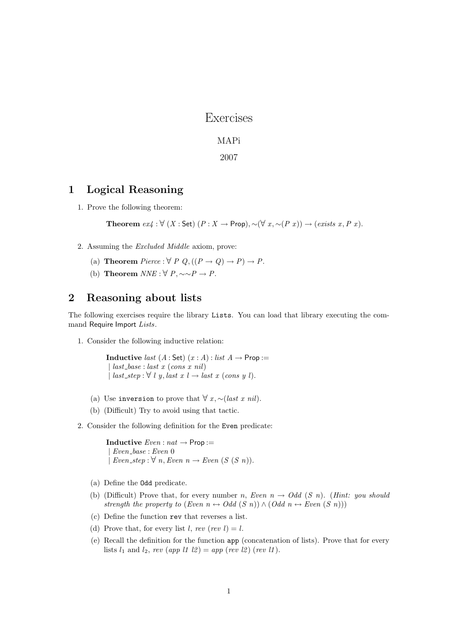Exercises

## MAPi

2007

## 1 Logical Reasoning

1. Prove the following theorem:

Theorem  $ex_4 : \forall (X : Set) (P : X \rightarrow Prop), \sim (\forall x, \sim (P x)) \rightarrow (exists x, P x).$ 

- 2. Assuming the Excluded Middle axiom, prove:
	- (a) **Theorem** Pierce :  $\forall P Q, ((P \rightarrow Q) \rightarrow P) \rightarrow P$ .
	- (b) Theorem  $NNE : \forall P, \sim P \rightarrow P$ .

## 2 Reasoning about lists

The following exercises require the library Lists. You can load that library executing the command Require Import Lists.

1. Consider the following inductive relation:

Inductive *last*  $(A : Set)$   $(x : A) : list A \rightarrow Prop :=$  $\int last\_{base} : last \ (cons \ x \ nil)$ | last\_step :  $\forall$  l y, last  $x$  l  $\rightarrow$  last  $x$  (cons y l).

- (a) Use inversion to prove that  $\forall x, \sim (last \; x \; nil).$
- (b) (Difficult) Try to avoid using that tactic.
- 2. Consider the following definition for the Even predicate:

**Inductive**  $Even : nat \rightarrow Prop :=$ | Even base : Even 0 | Even\_step :  $\forall n$ , Even  $n \rightarrow Even$  (S (S n)).

- (a) Define the Odd predicate.
- (b) (Difficult) Prove that, for every number n, Even  $n \to Odd$  (S n). (Hint: you should strength the property to (Even  $n \leftrightarrow Odd(S \ n)) \wedge (Odd \ n \leftrightarrow Even \ (S \ n)))$
- (c) Define the function rev that reverses a list.
- (d) Prove that, for every list l, rev (rev l) = l.
- (e) Recall the definition for the function app (concatenation of lists). Prove that for every lists  $l_1$  and  $l_2$ , rev (app l1 l2) = app (rev l2) (rev l1).